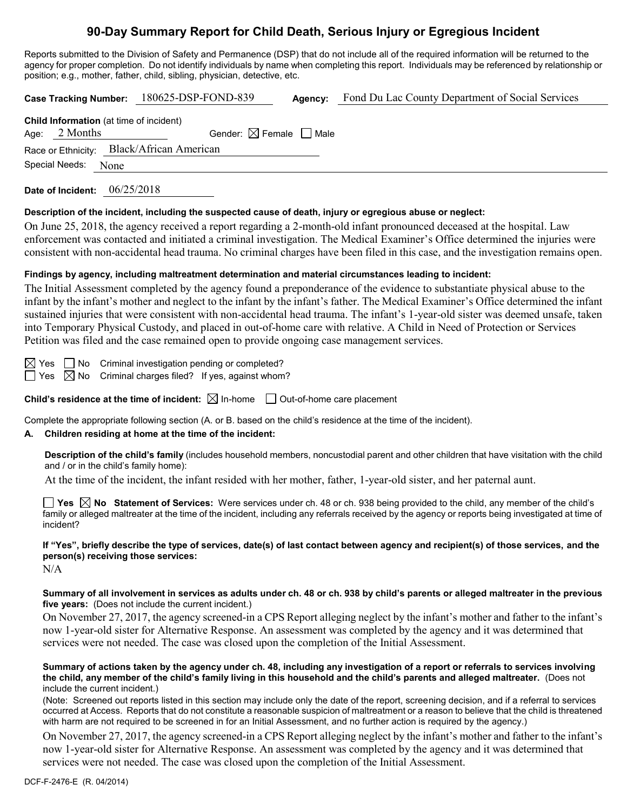# **90-Day Summary Report for Child Death, Serious Injury or Egregious Incident**

Reports submitted to the Division of Safety and Permanence (DSP) that do not include all of the required information will be returned to the agency for proper completion. Do not identify individuals by name when completing this report. Individuals may be referenced by relationship or position; e.g., mother, father, child, sibling, physician, detective, etc.

**Case Tracking Number:** 180625-DSP-FOND-839 **Agency:** Fond Du Lac County Department of Social Services **Child Information** (at time of incident) Age:  $2$  Months Gender:  $\boxtimes$  Female  $\Box$  Male Race or Ethnicity: Black/African American Special Needs: None

**Date of Incident:** 06/25/2018

#### **Description of the incident, including the suspected cause of death, injury or egregious abuse or neglect:**

On June 25, 2018, the agency received a report regarding a 2-month-old infant pronounced deceased at the hospital. Law enforcement was contacted and initiated a criminal investigation. The Medical Examiner's Office determined the injuries were consistent with non-accidental head trauma. No criminal charges have been filed in this case, and the investigation remains open.

#### **Findings by agency, including maltreatment determination and material circumstances leading to incident:**

The Initial Assessment completed by the agency found a preponderance of the evidence to substantiate physical abuse to the infant by the infant's mother and neglect to the infant by the infant's father. The Medical Examiner's Office determined the infant sustained injuries that were consistent with non-accidental head trauma. The infant's 1-year-old sister was deemed unsafe, taken into Temporary Physical Custody, and placed in out-of-home care with relative. A Child in Need of Protection or Services Petition was filed and the case remained open to provide ongoing case management services.

 $\boxtimes$  Yes  $\Box$  No Criminal investigation pending or completed?  $\Box$  Yes  $\boxtimes$  No Criminal charges filed? If yes, against whom?

**Child's residence at the time of incident:**  $\boxtimes$  In-home  $\Box$  Out-of-home care placement

Complete the appropriate following section (A. or B. based on the child's residence at the time of the incident).

### **A. Children residing at home at the time of the incident:**

**Description of the child's family** (includes household members, noncustodial parent and other children that have visitation with the child and / or in the child's family home):

At the time of the incident, the infant resided with her mother, father, 1-year-old sister, and her paternal aunt.

**Yes No Statement of Services:** Were services under ch. 48 or ch. 938 being provided to the child, any member of the child's family or alleged maltreater at the time of the incident, including any referrals received by the agency or reports being investigated at time of incident?

# **If "Yes", briefly describe the type of services, date(s) of last contact between agency and recipient(s) of those services, and the person(s) receiving those services:**

N/A

#### **Summary of all involvement in services as adults under ch. 48 or ch. 938 by child's parents or alleged maltreater in the previous five years:** (Does not include the current incident.)

On November 27, 2017, the agency screened-in a CPS Report alleging neglect by the infant's mother and father to the infant's now 1-year-old sister for Alternative Response. An assessment was completed by the agency and it was determined that services were not needed. The case was closed upon the completion of the Initial Assessment.

#### **Summary of actions taken by the agency under ch. 48, including any investigation of a report or referrals to services involving the child, any member of the child's family living in this household and the child's parents and alleged maltreater.** (Does not include the current incident.)

(Note: Screened out reports listed in this section may include only the date of the report, screening decision, and if a referral to services occurred at Access. Reports that do not constitute a reasonable suspicion of maltreatment or a reason to believe that the child is threatened with harm are not required to be screened in for an Initial Assessment, and no further action is required by the agency.)

On November 27, 2017, the agency screened-in a CPS Report alleging neglect by the infant's mother and father to the infant's now 1-year-old sister for Alternative Response. An assessment was completed by the agency and it was determined that services were not needed. The case was closed upon the completion of the Initial Assessment.